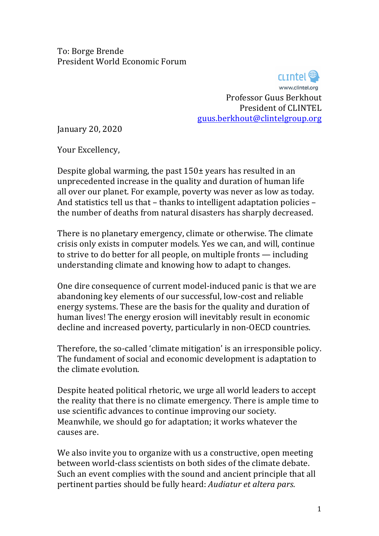To: Borge Brende President World Economic Forum 

> **CLIDIO** www.clintel.org<br>Professor Guus Berkhout President of CLINTEL guus.berkhout@clintelgroup.org

January 20, 2020

Your Excellency.

Despite global warming, the past  $150\pm$  years has resulted in an unprecedented increase in the quality and duration of human life all over our planet. For example, poverty was never as low as today. And statistics tell us that  $-$  thanks to intelligent adaptation policies  $$ the number of deaths from natural disasters has sharply decreased.

There is no planetary emergency, climate or otherwise. The climate crisis only exists in computer models. Yes we can, and will, continue to strive to do better for all people, on multiple fronts  $-$  including understanding climate and knowing how to adapt to changes.

One dire consequence of current model-induced panic is that we are abandoning key elements of our successful, low-cost and reliable energy systems. These are the basis for the quality and duration of human lives! The energy erosion will inevitably result in economic decline and increased poverty, particularly in non-OECD countries.

Therefore, the so-called 'climate mitigation' is an irresponsible policy. The fundament of social and economic development is adaptation to the climate evolution.

Despite heated political rhetoric, we urge all world leaders to accept the reality that there is no climate emergency. There is ample time to use scientific advances to continue improving our society. Meanwhile, we should go for adaptation; it works whatever the causes are.

We also invite you to organize with us a constructive, open meeting between world-class scientists on both sides of the climate debate. Such an event complies with the sound and ancient principle that all pertinent parties should be fully heard: *Audiatur et altera pars.*